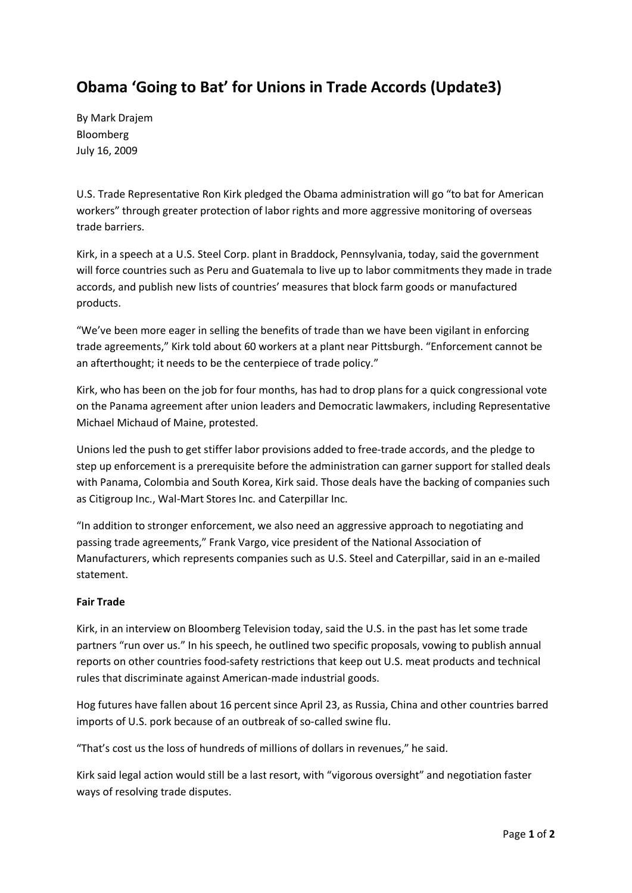## **Obama 'Going to Bat' for Unions in Trade Accords (Update3)**

By Mark Drajem Bloomberg July 16, 2009

U.S. Trade Representative Ron Kirk pledged the Obama administration will go "to bat for American workers" through greater protection of labor rights and more aggressive monitoring of overseas trade barriers.

Kirk, in a speech at a U.S. Steel Corp. plant in Braddock, Pennsylvania, today, said the government will force countries such as Peru and Guatemala to live up to labor commitments they made in trade accords, and publish new lists of countries' measures that block farm goods or manufactured products.

"We've been more eager in selling the benefits of trade than we have been vigilant in enforcing trade agreements," Kirk told about 60 workers at a plant near Pittsburgh. "Enforcement cannot be an afterthought; it needs to be the centerpiece of trade policy."

Kirk, who has been on the job for four months, has had to drop plans for a quick congressional vote on the Panama agreement after union leaders and Democratic lawmakers, including Representative Michael Michaud of Maine, protested.

Unions led the push to get stiffer labor provisions added to free-trade accords, and the pledge to step up enforcement is a prerequisite before the administration can garner support for stalled deals with Panama, Colombia and South Korea, Kirk said. Those deals have the backing of companies such as Citigroup Inc., Wal-Mart Stores Inc. and Caterpillar Inc.

"In addition to stronger enforcement, we also need an aggressive approach to negotiating and passing trade agreements," Frank Vargo, vice president of the National Association of Manufacturers, which represents companies such as U.S. Steel and Caterpillar, said in an e-mailed statement.

## **Fair Trade**

Kirk, in an interview on Bloomberg Television today, said the U.S. in the past has let some trade partners "run over us." In his speech, he outlined two specific proposals, vowing to publish annual reports on other countries food-safety restrictions that keep out U.S. meat products and technical rules that discriminate against American-made industrial goods.

Hog futures have fallen about 16 percent since April 23, as Russia, China and other countries barred imports of U.S. pork because of an outbreak of so-called swine flu.

"That's cost us the loss of hundreds of millions of dollars in revenues," he said.

Kirk said legal action would still be a last resort, with "vigorous oversight" and negotiation faster ways of resolving trade disputes.